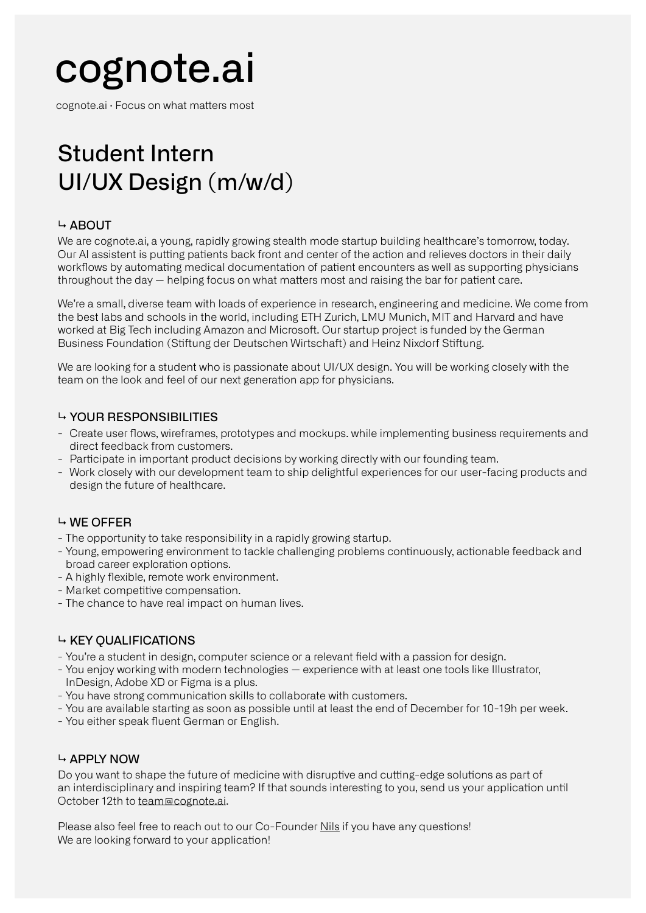# cognote.ai

cognote.ai · Focus on what matters most

## Student Intern UI/UX Design (m/w/d)

### ↳ ABOUT

We are cognote.ai, a young, rapidly growing stealth mode startup building healthcare's tomorrow, today. Our AI assistent is putting patients back front and center of the action and relieves doctors in their daily workflows by automating medical documentation of patient encounters as well as supporting physicians throughout the day  $-$  helping focus on what matters most and raising the bar for patient care.

We're a small, diverse team with loads of experience in research, engineering and medicine. We come from the best labs and schools in the world, including ETH Zurich, LMU Munich, MIT and Harvard and have worked at Big Tech including Amazon and Microsoft. Our startup project is funded by the German Business Foundation (Stiftung der Deutschen Wirtschaft) and Heinz Nixdorf Stiftung.

We are looking for a student who is passionate about UI/UX design. You will be working closely with the team on the look and feel of our next generation app for physicians.

### $\rightarrow$  YOUR RESPONSIBILITIES

- Create user flows, wireframes, prototypes and mockups. while implementing business requirements and direct feedback from customers.
- Participate in important product decisions by working directly with our founding team.
- Work closely with our development team to ship delightful experiences for our user-facing products and design the future of healthcare.

### ↳ WE OFFER

- The opportunity to take responsibility in a rapidly growing startup.
- Young, empowering environment to tackle challenging problems continuously, actionable feedback and broad career exploration options.
- A highly flexible, remote work environment.
- Market competitive compensation.
- The chance to have real impact on human lives.

### $\rightarrow$  KEY OUALIFICATIONS

- You're a student in design, computer science or a relevant field with a passion for design.
- You enjoy working with modern technologies experience with at least one tools like Illustrator, InDesign, Adobe XD or Figma is a plus.
- You have strong communication skills to collaborate with customers.
- You are available starting as soon as possible until at least the end of December for 10-19h per week.
- You either speak fluent German or English.

### ↳ APPLY NOW

Do you want to shape the future of medicine with disruptive and cutting-edge solutions as part of an interdisciplinary and inspiring team? If that sounds interesting to you, send us your application until October 12th to team@cognote.ai.

Please also feel free to reach out to our Co-Founder Nils if you have any questions! We are looking forward to your application!